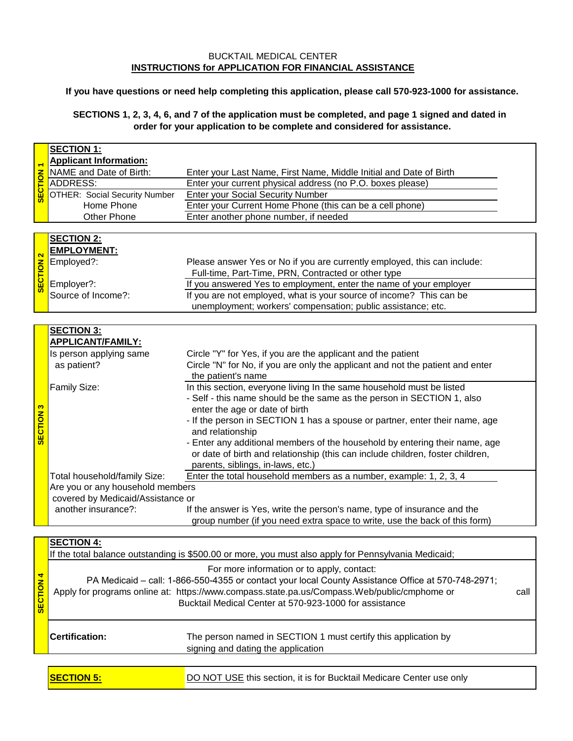## BUCKTAIL MEDICAL CENTER **INSTRUCTIONS for APPLICATION FOR FINANCIAL ASSISTANCE**

**If you have questions or need help completing this application, please call 570-923-1000 for assistance.**

**SECTIONS 1, 2, 3, 4, 6, and 7 of the application must be completed, and page 1 signed and dated in order for your application to be complete and considered for assistance.**

|                  | <b>SECTION 1:</b>                    |                                                                                                      |      |
|------------------|--------------------------------------|------------------------------------------------------------------------------------------------------|------|
|                  | <b>Applicant Information:</b>        |                                                                                                      |      |
|                  | NAME and Date of Birth:              | Enter your Last Name, First Name, Middle Initial and Date of Birth                                   |      |
|                  | <b>ADDRESS:</b>                      | Enter your current physical address (no P.O. boxes please)                                           |      |
| <b>SECTION 1</b> | <b>OTHER: Social Security Number</b> | <b>Enter your Social Security Number</b>                                                             |      |
|                  | Home Phone                           | Enter your Current Home Phone (this can be a cell phone)                                             |      |
|                  | Other Phone                          | Enter another phone number, if needed                                                                |      |
|                  |                                      |                                                                                                      |      |
|                  | <b>SECTION 2:</b>                    |                                                                                                      |      |
|                  | <b>EMPLOYMENT:</b>                   |                                                                                                      |      |
|                  | Employed?:                           | Please answer Yes or No if you are currently employed, this can include:                             |      |
|                  |                                      | Full-time, Part-Time, PRN, Contracted or other type                                                  |      |
| <b>SECTION 2</b> | Employer?:                           | If you answered Yes to employment, enter the name of your employer                                   |      |
|                  | Source of Income?:                   | If you are not employed, what is your source of income? This can be                                  |      |
|                  |                                      | unemployment; workers' compensation; public assistance; etc.                                         |      |
|                  |                                      |                                                                                                      |      |
|                  | <b>SECTION 3:</b>                    |                                                                                                      |      |
|                  | <b>APPLICANT/FAMILY:</b>             |                                                                                                      |      |
|                  | Is person applying same              | Circle "Y" for Yes, if you are the applicant and the patient                                         |      |
|                  |                                      |                                                                                                      |      |
|                  | as patient?                          | Circle "N" for No, if you are only the applicant and not the patient and enter<br>the patient's name |      |
|                  | Family Size:                         | In this section, everyone living In the same household must be listed                                |      |
|                  |                                      |                                                                                                      |      |
| S                |                                      | - Self - this name should be the same as the person in SECTION 1, also                               |      |
|                  |                                      | enter the age or date of birth                                                                       |      |
| <b>SECTION</b>   |                                      | - If the person in SECTION 1 has a spouse or partner, enter their name, age                          |      |
|                  |                                      | and relationship                                                                                     |      |
|                  |                                      | - Enter any additional members of the household by entering their name, age                          |      |
|                  |                                      | or date of birth and relationship (this can include children, foster children,                       |      |
|                  |                                      | parents, siblings, in-laws, etc.)                                                                    |      |
|                  | Total household/family Size:         | Enter the total household members as a number, example: 1, 2, 3, 4                                   |      |
|                  | Are you or any household members     |                                                                                                      |      |
|                  | covered by Medicaid/Assistance or    |                                                                                                      |      |
|                  | another insurance?:                  | If the answer is Yes, write the person's name, type of insurance and the                             |      |
|                  |                                      | group number (if you need extra space to write, use the back of this form)                           |      |
|                  | <b>SECTION 4:</b>                    |                                                                                                      |      |
|                  |                                      | If the total balance outstanding is \$500.00 or more, you must also apply for Pennsylvania Medicaid; |      |
|                  |                                      |                                                                                                      |      |
|                  |                                      | For more information or to apply, contact:                                                           |      |
|                  |                                      | PA Medicaid - call: 1-866-550-4355 or contact your local County Assistance Office at 570-748-2971;   |      |
|                  |                                      | Apply for programs online at: https://www.compass.state.pa.us/Compass.Web/public/cmphome or          | call |
| <b>SECTION 4</b> |                                      | Bucktail Medical Center at 570-923-1000 for assistance                                               |      |
|                  |                                      |                                                                                                      |      |
|                  |                                      |                                                                                                      |      |
|                  | <b>Certification:</b>                | The person named in SECTION 1 must certify this application by                                       |      |
|                  |                                      | signing and dating the application                                                                   |      |

**Certification:** The person named in SECTION 1 must certify this application by signing and dating the application

**SECTION 5:** DO NOT USE this section, it is for Bucktail Medicare Center use only